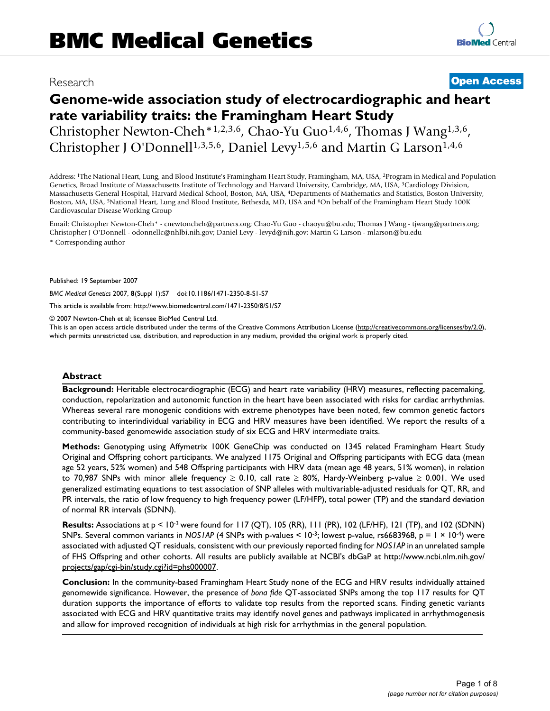# Research **[Open Access](http://www.biomedcentral.com/info/about/charter/)**

# **Genome-wide association study of electrocardiographic and heart rate variability traits: the Framingham Heart Study**

Christopher Newton-Cheh\*1,2,3,6, Chao-Yu Guo1,4,6, Thomas J Wang1,3,6, Christopher J O'Donnell<sup>1,3,5,6</sup>, Daniel Levy<sup>1,5,6</sup> and Martin G Larson<sup>1,4,6</sup>

Address: 1The National Heart, Lung, and Blood Institute's Framingham Heart Study, Framingham, MA, USA, 2Program in Medical and Population Genetics, Broad Institute of Massachusetts Institute of Technology and Harvard University, Cambridge, MA, USA, 3Cardiology Division, Massachusetts General Hospital, Harvard Medical School, Boston, MA, USA, 4Departments of Mathematics and Statistics, Boston University, Boston, MA, USA, 5National Heart, Lung and Blood Institute, Bethesda, MD, USA and 6On behalf of the Framingham Heart Study 100K Cardiovascular Disease Working Group

Email: Christopher Newton-Cheh\* - cnewtoncheh@partners.org; Chao-Yu Guo - chaoyu@bu.edu; Thomas J Wang - tjwang@partners.org; Christopher J O'Donnell - odonnellc@nhlbi.nih.gov; Daniel Levy - levyd@nih.gov; Martin G Larson - mlarson@bu.edu

\* Corresponding author

Published: 19 September 2007

*BMC Medical Genetics* 2007, **8**(Suppl 1):S7 doi:10.1186/1471-2350-8-S1-S7

[This article is available from: http://www.biomedcentral.com/1471-2350/8/S1/S7](http://www.biomedcentral.com/1471-2350/8/S1/S7)

© 2007 Newton-Cheh et al; licensee BioMed Central Ltd.

This is an open access article distributed under the terms of the Creative Commons Attribution License [\(http://creativecommons.org/licenses/by/2.0\)](http://creativecommons.org/licenses/by/2.0), which permits unrestricted use, distribution, and reproduction in any medium, provided the original work is properly cited.

#### **Abstract**

**Background:** Heritable electrocardiographic (ECG) and heart rate variability (HRV) measures, reflecting pacemaking, conduction, repolarization and autonomic function in the heart have been associated with risks for cardiac arrhythmias. Whereas several rare monogenic conditions with extreme phenotypes have been noted, few common genetic factors contributing to interindividual variability in ECG and HRV measures have been identified. We report the results of a community-based genomewide association study of six ECG and HRV intermediate traits.

**Methods:** Genotyping using Affymetrix 100K GeneChip was conducted on 1345 related Framingham Heart Study Original and Offspring cohort participants. We analyzed 1175 Original and Offspring participants with ECG data (mean age 52 years, 52% women) and 548 Offspring participants with HRV data (mean age 48 years, 51% women), in relation to 70,987 SNPs with minor allele frequency  $\geq$  0.10, call rate  $\geq$  80%, Hardy-Weinberg p-value  $\geq$  0.001. We used generalized estimating equations to test association of SNP alleles with multivariable-adjusted residuals for QT, RR, and PR intervals, the ratio of low frequency to high frequency power (LF/HFP), total power (TP) and the standard deviation of normal RR intervals (SDNN).

**Results:** Associations at p < 10-3 were found for 117 (QT), 105 (RR), 111 (PR), 102 (LF/HF), 121 (TP), and 102 (SDNN) SNPs. Several common variants in *NOS1AP* (4 SNPs with p-values < 10-3; lowest p-value, rs6683968, p = 1 × 10-4) were associated with adjusted QT residuals, consistent with our previously reported finding for *NOS1AP* in an unrelated sample of FHS Offspring and other cohorts. All results are publicly available at NCBI's dbGaP at [http://www.ncbi.nlm.nih.gov/](http://www.ncbi.nlm.nih.gov/projects/gap/cgi-bin/study.cgi?id=phs000007) [projects/gap/cgi-bin/study.cgi?id=phs000007.](http://www.ncbi.nlm.nih.gov/projects/gap/cgi-bin/study.cgi?id=phs000007)

**Conclusion:** In the community-based Framingham Heart Study none of the ECG and HRV results individually attained genomewide significance. However, the presence of *bona fide* QT-associated SNPs among the top 117 results for QT duration supports the importance of efforts to validate top results from the reported scans. Finding genetic variants associated with ECG and HRV quantitative traits may identify novel genes and pathways implicated in arrhythmogenesis and allow for improved recognition of individuals at high risk for arrhythmias in the general population.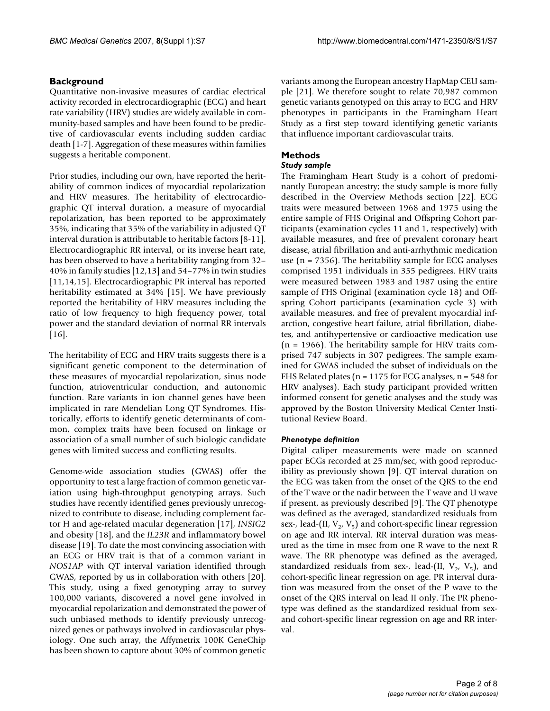# **Background**

Quantitative non-invasive measures of cardiac electrical activity recorded in electrocardiographic (ECG) and heart rate variability (HRV) studies are widely available in community-based samples and have been found to be predictive of cardiovascular events including sudden cardiac death [1-7]. Aggregation of these measures within families suggests a heritable component.

Prior studies, including our own, have reported the heritability of common indices of myocardial repolarization and HRV measures. The heritability of electrocardiographic QT interval duration, a measure of myocardial repolarization, has been reported to be approximately 35%, indicating that 35% of the variability in adjusted QT interval duration is attributable to heritable factors [8-11]. Electrocardiographic RR interval, or its inverse heart rate, has been observed to have a heritability ranging from 32– 40% in family studies [12,13] and 54–77% in twin studies [11,14,15]. Electrocardiographic PR interval has reported heritability estimated at 34% [15]. We have previously reported the heritability of HRV measures including the ratio of low frequency to high frequency power, total power and the standard deviation of normal RR intervals [16].

The heritability of ECG and HRV traits suggests there is a significant genetic component to the determination of these measures of myocardial repolarization, sinus node function, atrioventricular conduction, and autonomic function. Rare variants in ion channel genes have been implicated in rare Mendelian Long QT Syndromes. Historically, efforts to identify genetic determinants of common, complex traits have been focused on linkage or association of a small number of such biologic candidate genes with limited success and conflicting results.

Genome-wide association studies (GWAS) offer the opportunity to test a large fraction of common genetic variation using high-throughput genotyping arrays. Such studies have recently identified genes previously unrecognized to contribute to disease, including complement factor H and age-related macular degeneration [17], *INSIG2* and obesity [18], and the *IL23R* and inflammatory bowel disease [19]. To date the most convincing association with an ECG or HRV trait is that of a common variant in *NOS1AP* with QT interval variation identified through GWAS, reported by us in collaboration with others [20]. This study, using a fixed genotyping array to survey 100,000 variants, discovered a novel gene involved in myocardial repolarization and demonstrated the power of such unbiased methods to identify previously unrecognized genes or pathways involved in cardiovascular physiology. One such array, the Affymetrix 100K GeneChip has been shown to capture about 30% of common genetic variants among the European ancestry HapMap CEU sample [21]. We therefore sought to relate 70,987 common genetic variants genotyped on this array to ECG and HRV phenotypes in participants in the Framingham Heart Study as a first step toward identifying genetic variants that influence important cardiovascular traits.

# **Methods**

#### *Study sample*

The Framingham Heart Study is a cohort of predominantly European ancestry; the study sample is more fully described in the Overview Methods section [22]. ECG traits were measured between 1968 and 1975 using the entire sample of FHS Original and Offspring Cohort participants (examination cycles 11 and 1, respectively) with available measures, and free of prevalent coronary heart disease, atrial fibrillation and anti-arrhythmic medication use ( $n = 7356$ ). The heritability sample for ECG analyses comprised 1951 individuals in 355 pedigrees. HRV traits were measured between 1983 and 1987 using the entire sample of FHS Original (examination cycle 18) and Offspring Cohort participants (examination cycle 3) with available measures, and free of prevalent myocardial infarction, congestive heart failure, atrial fibrillation, diabetes, and antihypertensive or cardioactive medication use  $(n = 1966)$ . The heritability sample for HRV traits comprised 747 subjects in 307 pedigrees. The sample examined for GWAS included the subset of individuals on the FHS Related plates ( $n = 1175$  for ECG analyses,  $n = 548$  for HRV analyses). Each study participant provided written informed consent for genetic analyses and the study was approved by the Boston University Medical Center Institutional Review Board.

# *Phenotype definition*

Digital caliper measurements were made on scanned paper ECGs recorded at 25 mm/sec, with good reproducibility as previously shown [9]. QT interval duration on the ECG was taken from the onset of the QRS to the end of the T wave or the nadir between the T wave and U wave if present, as previously described [9]. The QT phenotype was defined as the averaged, standardized residuals from sex-, lead-(II,  $V_2$ ,  $V_5$ ) and cohort-specific linear regression on age and RR interval. RR interval duration was measured as the time in msec from one R wave to the next R wave. The RR phenotype was defined as the averaged, standardized residuals from sex-, lead-(II,  $V_2$ ,  $V_5$ ), and cohort-specific linear regression on age. PR interval duration was measured from the onset of the P wave to the onset of the QRS interval on lead II only. The PR phenotype was defined as the standardized residual from sexand cohort-specific linear regression on age and RR interval.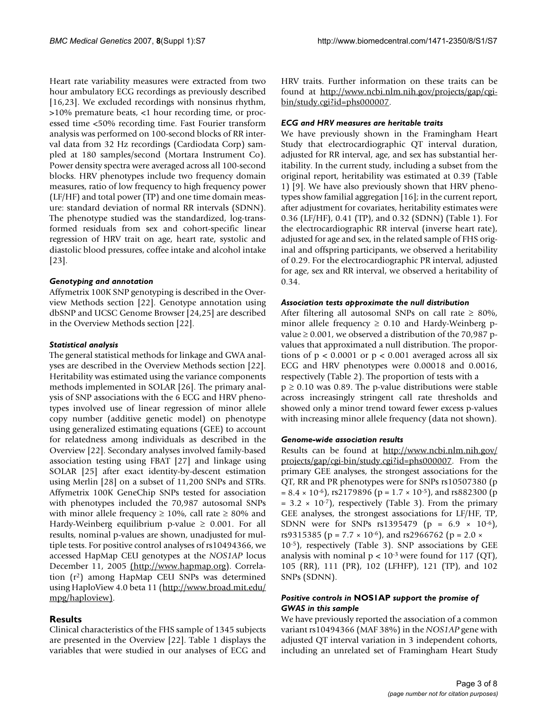Heart rate variability measures were extracted from two hour ambulatory ECG recordings as previously described [16,23]. We excluded recordings with nonsinus rhythm, >10% premature beats, <1 hour recording time, or processed time <50% recording time. Fast Fourier transform analysis was performed on 100-second blocks of RR interval data from 32 Hz recordings (Cardiodata Corp) sampled at 180 samples/second (Mortara Instrument Co). Power density spectra were averaged across all 100-second blocks. HRV phenotypes include two frequency domain measures, ratio of low frequency to high frequency power (LF/HF) and total power (TP) and one time domain measure: standard deviation of normal RR intervals (SDNN). The phenotype studied was the standardized, log-transformed residuals from sex and cohort-specific linear regression of HRV trait on age, heart rate, systolic and diastolic blood pressures, coffee intake and alcohol intake [23].

# *Genotyping and annotation*

Affymetrix 100K SNP genotyping is described in the Overview Methods section [22]. Genotype annotation using dbSNP and UCSC Genome Browser [24,25] are described in the Overview Methods section [22].

### *Statistical analysis*

The general statistical methods for linkage and GWA analyses are described in the Overview Methods section [22]. Heritability was estimated using the variance components methods implemented in SOLAR [26]. The primary analysis of SNP associations with the 6 ECG and HRV phenotypes involved use of linear regression of minor allele copy number (additive genetic model) on phenotype using generalized estimating equations (GEE) to account for relatedness among individuals as described in the Overview [22]. Secondary analyses involved family-based association testing using FBAT [27] and linkage using SOLAR [25] after exact identity-by-descent estimation using Merlin [28] on a subset of 11,200 SNPs and STRs. Affymetrix 100K GeneChip SNPs tested for association with phenotypes included the 70,987 autosomal SNPs with minor allele frequency  $\geq 10\%$ , call rate  $\geq 80\%$  and Hardy-Weinberg equilibrium p-value  $\geq 0.001$ . For all results, nominal p-values are shown, unadjusted for multiple tests. For positive control analyses of rs10494366, we accessed HapMap CEU genotypes at the *NOS1AP* locus December 11, 2005 [\(http://www.hapmap.org]((http://www.hapmap.org)). Correlation (r2) among HapMap CEU SNPs was determined using HaploView 4.0 beta 11 ([http://www.broad.mit.edu/](http://www.broad.mit.edu/mpg/haploview)) [mpg/haploview\)](http://www.broad.mit.edu/mpg/haploview)).

# **Results**

Clinical characteristics of the FHS sample of 1345 subjects are presented in the Overview [22]. Table 1 displays the variables that were studied in our analyses of ECG and

HRV traits. Further information on these traits can be found at [http://www.ncbi.nlm.nih.gov/projects/gap/cgi](http://www.ncbi.nlm.nih.gov/projects/gap/cgi-bin/study.cgi?id=phs000007)[bin/study.cgi?id=phs000007](http://www.ncbi.nlm.nih.gov/projects/gap/cgi-bin/study.cgi?id=phs000007).

### *ECG and HRV measures are heritable traits*

We have previously shown in the Framingham Heart Study that electrocardiographic QT interval duration, adjusted for RR interval, age, and sex has substantial heritability. In the current study, including a subset from the original report, heritability was estimated at 0.39 (Table 1) [9]. We have also previously shown that HRV phenotypes show familial aggregation [16]; in the current report, after adjustment for covariates, heritability estimates were 0.36 (LF/HF), 0.41 (TP), and 0.32 (SDNN) (Table 1). For the electrocardiographic RR interval (inverse heart rate), adjusted for age and sex, in the related sample of FHS original and offspring participants, we observed a heritability of 0.29. For the electrocardiographic PR interval, adjusted for age, sex and RR interval, we observed a heritability of 0.34.

#### *Association tests approximate the null distribution*

After filtering all autosomal SNPs on call rate  $\geq 80\%$ , minor allele frequency  $\geq 0.10$  and Hardy-Weinberg pvalue  $\geq$  0.001, we observed a distribution of the 70,987 pvalues that approximated a null distribution. The proportions of  $p < 0.0001$  or  $p < 0.001$  averaged across all six ECG and HRV phenotypes were 0.00018 and 0.0016, respectively (Table 2). The proportion of tests with a  $p \ge 0.10$  was 0.89. The p-value distributions were stable across increasingly stringent call rate thresholds and showed only a minor trend toward fewer excess p-values with increasing minor allele frequency (data not shown).

#### *Genome-wide association results*

Results can be found at [http://www.ncbi.nlm.nih.gov/](http://www.ncbi.nlm.nih.gov/projects/gap/cgi-bin/study.cgi?id=phs000007) [projects/gap/cgi-bin/study.cgi?id=phs000007](http://www.ncbi.nlm.nih.gov/projects/gap/cgi-bin/study.cgi?id=phs000007). From the primary GEE analyses, the strongest associations for the QT, RR and PR phenotypes were for SNPs rs10507380 (p  $= 8.4 \times 10^{-6}$ , rs2179896 (p = 1.7  $\times$  10<sup>-5</sup>), and rs882300 (p  $= 3.2 \times 10^{-7}$ , respectively (Table 3). From the primary GEE analyses, the strongest associations for LF/HF, TP, SDNN were for SNPs rs1395479 ( $p = 6.9 \times 10^{-6}$ ), rs9315385 ( $p = 7.7 \times 10^{-6}$ ), and rs2966762 ( $p = 2.0 \times 10^{-6}$ ) 10-5), respectively (Table 3). SNP associations by GEE analysis with nominal  $p < 10^{-3}$  were found for 117 (QT), 105 (RR), 111 (PR), 102 (LFHFP), 121 (TP), and 102 SNPs (SDNN).

### *Positive controls in* **NOS1AP** *support the promise of GWAS in this sample*

We have previously reported the association of a common variant rs10494366 (MAF 38%) in the *NOS1AP* gene with adjusted QT interval variation in 3 independent cohorts, including an unrelated set of Framingham Heart Study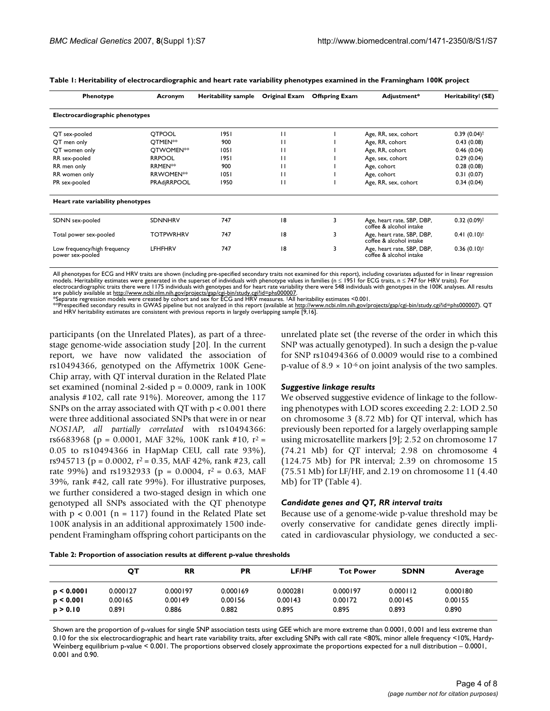| Phenotype                                        | Acronym               | <b>Heritability sample</b> | Original Exam | <b>Offspring Exam</b> | Adjustment*                                           | Heritability <sup>†</sup> (SE) |
|--------------------------------------------------|-----------------------|----------------------------|---------------|-----------------------|-------------------------------------------------------|--------------------------------|
| Electrocardiographic phenotypes                  |                       |                            |               |                       |                                                       |                                |
| QT sex-pooled                                    | <b>OTPOOL</b>         | 1951                       | п             |                       | Age, RR, sex, cohort                                  | $0.39(0.04)$ <sup>†</sup>      |
| QT men only                                      | OTMEN <sup>**</sup>   | 900                        |               |                       | Age, RR, cohort                                       | 0.43(0.08)                     |
| QT women only                                    | OTWOMEN <sup>**</sup> | 1051                       | п             |                       | Age, RR, cohort                                       | 0.46(0.04)                     |
| RR sex-pooled                                    | <b>RRPOOL</b>         | 1951                       | п             |                       | Age, sex, cohort                                      | 0.29(0.04)                     |
| RR men only                                      | <b>RRMEN**</b>        | 900                        | п             |                       | Age, cohort                                           | 0.28(0.08)                     |
| RR women only                                    | RRWOMEN <sup>**</sup> | 1051                       | п             |                       | Age, cohort                                           | 0.31(0.07)                     |
| PR sex-pooled                                    | PRAdjRRPOOL           | 1950                       |               |                       | Age, RR, sex, cohort                                  | 0.34(0.04)                     |
| Heart rate variability phenotypes                |                       |                            |               |                       |                                                       |                                |
| SDNN sex-pooled                                  | <b>SDNNHRV</b>        | 747                        | 18            | 3                     | Age, heart rate, SBP, DBP,<br>coffee & alcohol intake | $0.32(0.09)$ <sup>†</sup>      |
| Total power sex-pooled                           | <b>TOTPWRHRV</b>      | 747                        | 18            | 3                     | Age, heart rate, SBP, DBP,<br>coffee & alcohol intake | $0.41(0.10)^{\dagger}$         |
| Low frequency/high frequency<br>power sex-pooled | LFHFHRV               | 747                        | 18            | 3                     | Age, heart rate, SBP, DBP,<br>coffee & alcohol intake | $0.36(0.10)^{\dagger}$         |

| Table 1: Heritability of electrocardiographic and heart rate variability phenotypes examined in the Framingham 100K project |  |  |  |  |
|-----------------------------------------------------------------------------------------------------------------------------|--|--|--|--|
|-----------------------------------------------------------------------------------------------------------------------------|--|--|--|--|

All phenotypes for ECG and HRV traits are shown (including pre-specified secondary traits not examined for this report), including covariates adjusted for in linear regression<br>models. Heritability estimates were generated

are publicly available at <u>http://www.ncbi.nlm.nih.gov/projects/gap/cgi-bin/study.cgi?id=phs000007</u>.<br>\*Separate regression models were created by cohort and sex for ECG and HRV measures. †All heritability estimates <0.001.

\*\*Prespecified secondary results in GWAS pipeline but not analyzed in this report (available at<http://www.ncbi.nlm.nih.gov/projects/gap/cgi-bin/study.cgi?id=phs000007>). QT and HRV heritability estimates are consistent with previous reports in largely overlapping sample [9,16].

participants (on the Unrelated Plates), as part of a threestage genome-wide association study [20]. In the current report, we have now validated the association of rs10494366, genotyped on the Affymetrix 100K Gene-Chip array, with QT interval duration in the Related Plate set examined (nominal 2-sided  $p = 0.0009$ , rank in 100K analysis #102, call rate 91%). Moreover, among the 117 SNPs on the array associated with QT with p < 0.001 there were three additional associated SNPs that were in or near *NOS1AP*, *all partially correlated* with rs10494366: rs6683968 (p = 0.0001, MAF 32%, 100K rank #10,  $r^2$  = 0.05 to rs10494366 in HapMap CEU, call rate 93%), rs945713 (p = 0.0002,  $r^2$  = 0.35, MAF 42%, rank #23, call rate 99%) and rs1932933 (p = 0.0004,  $r^2$  = 0.63, MAF 39%, rank #42, call rate 99%). For illustrative purposes, we further considered a two-staged design in which one genotyped all SNPs associated with the QT phenotype with  $p < 0.001$  (n = 117) found in the Related Plate set 100K analysis in an additional approximately 1500 independent Framingham offspring cohort participants on the unrelated plate set (the reverse of the order in which this SNP was actually genotyped). In such a design the p-value for SNP rs10494366 of 0.0009 would rise to a combined p-value of  $8.9 \times 10^{-6}$  on joint analysis of the two samples.

#### *Suggestive linkage results*

We observed suggestive evidence of linkage to the following phenotypes with LOD scores exceeding 2.2: LOD 2.50 on chromosome 3 (8.72 Mb) for QT interval, which has previously been reported for a largely overlapping sample using microsatellite markers [9]; 2.52 on chromosome 17 (74.21 Mb) for QT interval; 2.98 on chromosome 4 (124.75 Mb) for PR interval; 2.39 on chromosome 15 (75.51 Mb) for LF/HF, and 2.19 on chromosome 11 (4.40 Mb) for TP (Table 4).

#### *Candidate genes and QT, RR interval traits*

Because use of a genome-wide p-value threshold may be overly conservative for candidate genes directly implicated in cardiovascular physiology, we conducted a sec-

| Table 2: Proportion of association results at different p-value thresholds |  |  |  |  |
|----------------------------------------------------------------------------|--|--|--|--|
|----------------------------------------------------------------------------|--|--|--|--|

|                       | от               | <b>RR</b>        | PR               | <b>LF/HF</b>     | <b>Tot Power</b> | <b>SDNN</b>      | Average          |
|-----------------------|------------------|------------------|------------------|------------------|------------------|------------------|------------------|
| p < 0.0001            | 0.000127         | 0.000197         | 0.000169         | 0.000281         | 0.000197         | 0.000112         | 0.000180         |
| p < 0.001<br>p > 0.10 | 0.00165<br>0.891 | 0.00149<br>0.886 | 0.00156<br>0.882 | 0.00143<br>0.895 | 0.00172<br>0.895 | 0.00145<br>0.893 | 0.00155<br>0.890 |

Shown are the proportion of p-values for single SNP association tests using GEE which are more extreme than 0.0001, 0.001 and less extreme than 0.10 for the six electrocardiographic and heart rate variability traits, after excluding SNPs with call rate <80%, minor allele frequency <10%, Hardy-Weinberg equilibrium p-value < 0.001. The proportions observed closely approximate the proportions expected for a null distribution – 0.0001, 0.001 and 0.90.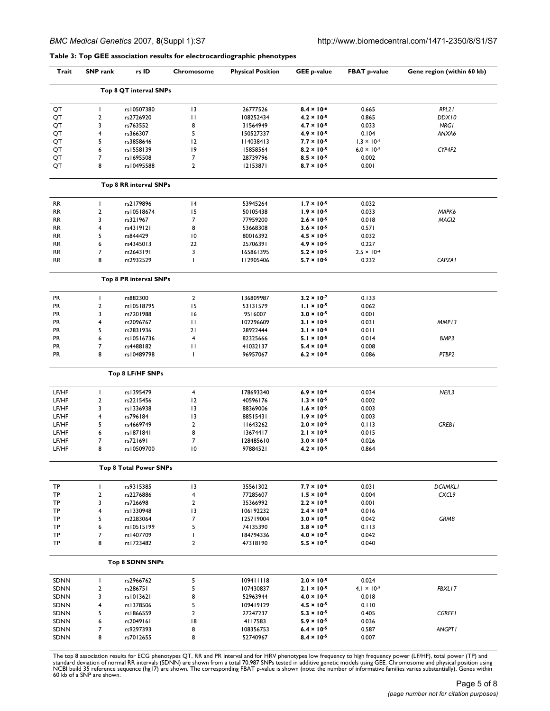### **Table 3: Top GEE association results for electrocardiographic phenotypes**

| Trait       | <b>SNP</b> rank         | rs ID                  | Chromosome     | <b>Physical Position</b> | <b>GEE p-value</b>   | <b>FBAT p-value</b>           | Gene region (within 60 kb) |
|-------------|-------------------------|------------------------|----------------|--------------------------|----------------------|-------------------------------|----------------------------|
|             |                         | Top 8 QT interval SNPs |                |                          |                      |                               |                            |
| QT          | L                       | rs10507380             | 13             | 26777526                 | $8.4 \times 10^{-6}$ | 0.665                         | RPL2 I                     |
| QT          | $\mathbf{2}$            | rs2726920              | П              | 108252434                | $4.2 \times 10^{-5}$ | 0.865                         | DDX10                      |
| QT          | 3                       | rs763552               | 8              | 31564949                 | $4.7 \times 10^{-5}$ | 0.033                         | <b>NRGI</b>                |
| QT          | 4                       | rs366307               | 5              | 150527337                | $4.9 \times 10^{-5}$ | 0.104                         | ANXA6                      |
| QT          | 5                       | rs3858646              | 12             | 114038413                | $7.7 \times 10^{-5}$ | $1.3 \times 10^{-4}$          |                            |
| QT          | 6                       | rs1558139              | 9              | 15858564                 | $8.2 \times 10^{-5}$ | $6.0 \times 10^{-5}$          | CYP4F2                     |
| QT          | 7                       | rs1695508              | 7              | 28739796                 | $8.5 \times 10^{-5}$ | 0.002                         |                            |
| QT          | 8                       | rs10495588             | $\overline{2}$ | 12153871                 | $8.7 \times 10^{-5}$ | 0.001                         |                            |
|             |                         | Top 8 RR interval SNPs |                |                          |                      |                               |                            |
| <b>RR</b>   | T                       | rs2179896              | 4              | 53945264                 | $1.7 \times 10^{-5}$ | 0.032                         |                            |
|             |                         |                        | 15             |                          |                      |                               |                            |
| <b>RR</b>   | $\mathbf 2$             | rs10518674             |                | 50105438                 | $1.9 \times 10^{-5}$ | 0.033                         | MAPK6                      |
| RR          | 3                       | rs321967               | $\overline{7}$ | 77959200                 | $2.6 \times 10^{-5}$ | 0.018                         | MAGI2                      |
| <b>RR</b>   | 4                       | rs4319121              | 8              | 53668308                 | $3.6 \times 10^{-5}$ | 0.571                         |                            |
| <b>RR</b>   | 5                       | rs844429               | 10             | 80016392                 | $4.5 \times 10^{-5}$ | 0.032                         |                            |
| <b>RR</b>   | 6                       | rs4345013              | 22             | 25706391                 | $4.9 \times 10^{-5}$ | 0.227                         |                            |
| <b>RR</b>   | 7                       | rs2643191              | 3              | 165861395                | $5.2 \times 10^{-5}$ | $2.5 \times 10^{-4}$          |                            |
| <b>RR</b>   | 8                       | rs2932529              | $\mathbf{I}$   | 112905406                | $5.7 \times 10^{-5}$ | 0.232                         | CAPZA I                    |
|             |                         | Top 8 PR interval SNPs |                |                          |                      |                               |                            |
| <b>PR</b>   | T                       | rs882300               | $\mathbf{2}$   | 136809987                | $3.2 \times 10^{-7}$ | 0.133                         |                            |
| <b>PR</b>   | $\boldsymbol{2}$        | rs10518795             | 15             | 53131579                 | $1.1 \times 10^{-5}$ | 0.062                         |                            |
| <b>PR</b>   | 3                       | rs7201988              | 16             | 9516007                  | $3.0 \times 10^{-5}$ | 0.001                         |                            |
| <b>PR</b>   | 4                       | rs2096767              | П              | 102296609                | $3.1 \times 10^{-5}$ | 0.031                         | MMP13                      |
| <b>PR</b>   | 5                       | rs2831936              | 21             |                          | $3.1 \times 10^{-5}$ | 0.011                         |                            |
|             |                         |                        |                | 28922444                 |                      |                               |                            |
| <b>PR</b>   | 6                       | rs10516736             | 4              | 82325666                 | $5.1 \times 10^{-5}$ | 0.014                         | BMP3                       |
| <b>PR</b>   | 7                       | rs4488182              | П              | 41032137                 | $5.4 \times 10^{-5}$ | 0.008                         |                            |
| <b>PR</b>   | 8                       | rs10489798             | $\mathbf{I}$   | 96957067                 | $6.2 \times 10^{-5}$ | 0.086                         | PTBP2                      |
|             |                         | Top 8 LF/HF SNPs       |                |                          |                      |                               |                            |
| LF/HF       | T                       | rs1395479              | 4              | 178693340                | $6.9 \times 10^{-6}$ | 0.034                         | NEIL3                      |
| LF/HF       | $\boldsymbol{2}$        | rs2215456              | 12             | 40596176                 | $1.3 \times 10^{-5}$ | 0.002                         |                            |
| LF/HF       | 3                       | rs1336938              | 13             | 88369006                 | $1.6 \times 10^{-5}$ | 0.003                         |                            |
| LF/HF       | 4                       | rs796184               | 13             | 88515431                 | $1.9 \times 10^{-5}$ | 0.003                         |                            |
| LF/HF       | 5                       | rs4669749              | $\mathbf{2}$   | 11643262                 | $2.0 \times 10^{-5}$ | 0.113                         | <b>GREBI</b>               |
| LF/HF       | 6                       | rs1871841              | 8              | 13674417                 | $2.1 \times 10^{-5}$ | 0.015                         |                            |
| LF/HF       | 7                       | rs721691               | 7              | 128485610                | $3.0 \times 10^{-5}$ | 0.026                         |                            |
| LF/HF       | 8                       | rs10509700             | 10             | 97884521                 | $4.2 \times 10^{-5}$ | 0.864                         |                            |
|             |                         |                        |                |                          |                      |                               |                            |
|             |                         | Top 8 Total Power SNPs |                |                          |                      |                               |                            |
| TP          | L                       | rs9315385              | 13             | 35561302                 | $7.7 \times 10^{-6}$ | 0.031                         | <b>DCAMKLI</b>             |
| TP          | $\boldsymbol{2}$        | rs2276886              | 4              | 77285607                 | $1.5 \times 10^{-5}$ | 0.004                         | CXCL9                      |
| TP          | 3                       | rs726698               | $\mathbf{2}$   | 35366992                 | $2.2 \times 10^{-5}$ | 0.001                         |                            |
| TP          | 4                       | rs1330948              | 13             | 106192232                | $2.4 \times 10^{-5}$ | 0.016                         |                            |
| TP          | 5                       | rs2283064              | 7              | 125719004                | $3.0 \times 10^{-5}$ | 0.042                         | GRM8                       |
| TP          | 6                       | rs10515199             | 5              | 74135390                 | $3.8 \times 10^{-5}$ | 0.113                         |                            |
| TP          | 7                       | rs1407709              | T              | 184794336                | $4.0 \times 10^{-5}$ | 0.042                         |                            |
| TP          | 8                       | rs1723482              | $\mathbf{2}$   | 47318190                 | $5.5 \times 10^{-5}$ | 0.040                         |                            |
|             |                         | Top 8 SDNN SNPs        |                |                          |                      |                               |                            |
|             |                         |                        |                |                          |                      |                               |                            |
| SDNN        | $\mathbf{I}$            | rs2966762              | 5              | 109411118                | $2.0 \times 10^{-5}$ | 0.024                         |                            |
| SDNN        | $\overline{\mathbf{c}}$ | rs286751               | 5              | 107430837                | $2.1 \times 10^{-5}$ | 4.1 $\times$ 10 <sup>-5</sup> | FBXL17                     |
| SDNN        | 3                       | rs1013621              | 8              | 52963944                 | $4.0 \times 10^{-5}$ | 0.018                         |                            |
| SDNN        | 4                       | rs1378506              | 5              | 109419129                | $4.5 \times 10^{-5}$ | 0.110                         |                            |
| SDNN        | 5                       | rs1866559              | $\mathbf{2}$   | 27247237                 | $5.3 \times 10^{-5}$ | 0.405                         | <b>CGREF1</b>              |
| SDNN        | 6                       | rs2049161              | 18             | 4117583                  | $5.9 \times 10^{-5}$ | 0.036                         |                            |
| <b>SDNN</b> | 7                       | rs9297393              | 8              | 108356753                | $6.4 \times 10^{-5}$ | 0.587                         | <b>ANGPT1</b>              |
| SDNN        | 8                       | rs7012655              | 8              | 52740967                 | $8.4 \times 10^{-5}$ | 0.007                         |                            |
|             |                         |                        |                |                          |                      |                               |                            |

The top 8 association results for ECG phenotypes QT, RR and PR interval and for HRV phenotypes low frequency to high frequency power (LF/HF), total power (TP) and<br>standard deviation of normal RR intervals (SDNN) are shown 60 kb of a SNP are shown.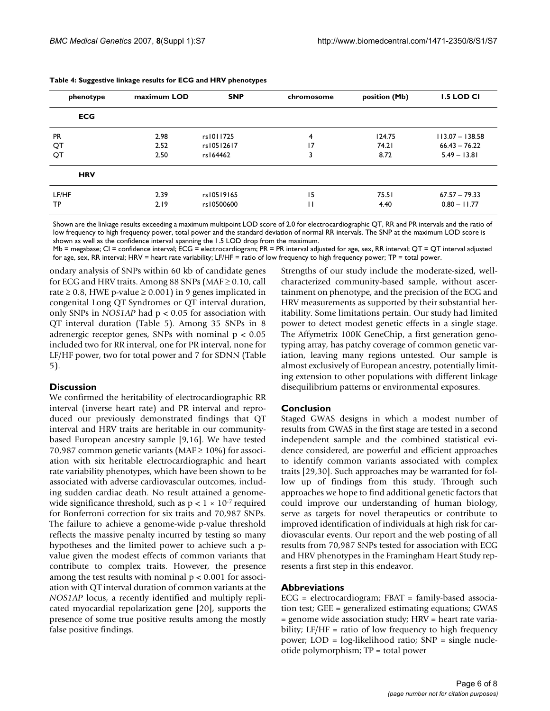| phenotype  | maximum LOD | <b>SNP</b> | chromosome | position (Mb) | <b>1.5 LOD CI</b> |
|------------|-------------|------------|------------|---------------|-------------------|
| <b>ECG</b> |             |            |            |               |                   |
| <b>PR</b>  | 2.98        | rs1011725  | 4          | 124.75        | $113.07 - 138.58$ |
| QT         | 2.52        | rs10512617 | 17         | 74.21         | $66.43 - 76.22$   |
| QT         | 2.50        | rs164462   | 3          | 8.72          | $5.49 - 13.81$    |
| <b>HRV</b> |             |            |            |               |                   |
| LF/HF      | 2.39        | rs10519165 | 15         | 75.51         | $67.57 - 79.33$   |
| TP         | 2.19        | rs10500600 | П          | 4.40          | $0.80 - 11.77$    |

Shown are the linkage results exceeding a maximum multipoint LOD score of 2.0 for electrocardiographic QT, RR and PR intervals and the ratio of low frequency to high frequency power, total power and the standard deviation of normal RR intervals. The SNP at the maximum LOD score is shown as well as the confidence interval spanning the 1.5 LOD drop from the maximum.

Mb = megabase; CI = confidence interval; ECG = electrocardiogram; PR = PR interval adjusted for age, sex, RR interval; QT = QT interval adjusted for age, sex, RR interval; HRV = heart rate variability; LF/HF = ratio of low frequency to high frequency power; TP = total power.

ondary analysis of SNPs within 60 kb of candidate genes for ECG and HRV traits. Among 88 SNPs (MAF  $\geq$  0.10, call rate  $\geq$  0.8, HWE p-value  $\geq$  0.001) in 9 genes implicated in congenital Long QT Syndromes or QT interval duration, only SNPs in *NOS1AP* had p < 0.05 for association with QT interval duration (Table 5). Among 35 SNPs in 8 adrenergic receptor genes, SNPs with nominal  $p < 0.05$ included two for RR interval, one for PR interval, none for LF/HF power, two for total power and 7 for SDNN (Table 5).

#### **Discussion**

We confirmed the heritability of electrocardiographic RR interval (inverse heart rate) and PR interval and reproduced our previously demonstrated findings that QT interval and HRV traits are heritable in our communitybased European ancestry sample [9,16]. We have tested 70,987 common genetic variants (MAF  $\geq$  10%) for association with six heritable electrocardiographic and heart rate variability phenotypes, which have been shown to be associated with adverse cardiovascular outcomes, including sudden cardiac death. No result attained a genomewide significance threshold, such as  $p < 1 \times 10^{-7}$  required for Bonferroni correction for six traits and 70,987 SNPs. The failure to achieve a genome-wide p-value threshold reflects the massive penalty incurred by testing so many hypotheses and the limited power to achieve such a pvalue given the modest effects of common variants that contribute to complex traits. However, the presence among the test results with nominal  $p < 0.001$  for association with QT interval duration of common variants at the *NOS1AP* locus, a recently identified and multiply replicated myocardial repolarization gene [20], supports the presence of some true positive results among the mostly false positive findings.

Strengths of our study include the moderate-sized, wellcharacterized community-based sample, without ascertainment on phenotype, and the precision of the ECG and HRV measurements as supported by their substantial heritability. Some limitations pertain. Our study had limited power to detect modest genetic effects in a single stage. The Affymetrix 100K GeneChip, a first generation genotyping array, has patchy coverage of common genetic variation, leaving many regions untested. Our sample is almost exclusively of European ancestry, potentially limiting extension to other populations with different linkage disequilibrium patterns or environmental exposures.

#### **Conclusion**

Staged GWAS designs in which a modest number of results from GWAS in the first stage are tested in a second independent sample and the combined statistical evidence considered, are powerful and efficient approaches to identify common variants associated with complex traits [29,30]. Such approaches may be warranted for follow up of findings from this study. Through such approaches we hope to find additional genetic factors that could improve our understanding of human biology, serve as targets for novel therapeutics or contribute to improved identification of individuals at high risk for cardiovascular events. Our report and the web posting of all results from 70,987 SNPs tested for association with ECG and HRV phenotypes in the Framingham Heart Study represents a first step in this endeavor.

#### **Abbreviations**

ECG = electrocardiogram; FBAT = family-based association test; GEE = generalized estimating equations; GWAS = genome wide association study; HRV = heart rate variability;  $LF/HF = ratio of low frequency to high frequency$ power; LOD = log-likelihood ratio; SNP = single nucleotide polymorphism; TP = total power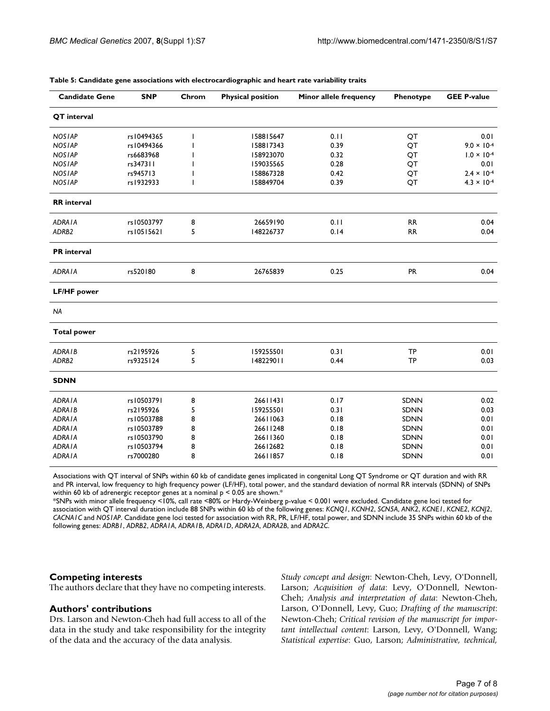| <b>Candidate Gene</b> | <b>SNP</b> | Chrom | <b>Physical position</b> | Minor allele frequency | Phenotype   | <b>GEE P-value</b>   |
|-----------------------|------------|-------|--------------------------|------------------------|-------------|----------------------|
| QT interval           |            |       |                          |                        |             |                      |
| <b>NOSIAP</b>         | rs10494365 | I     | 158815647                | 0.11                   | QT          | 0.01                 |
| <b>NOSIAP</b>         | rs10494366 |       | 158817343                | 0.39                   | QT          | $9.0 \times 10^{-4}$ |
| <b>NOSIAP</b>         | rs6683968  |       | 158923070                | 0.32                   | QT          | $1.0 \times 10^{-4}$ |
| <b>NOSIAP</b>         | rs347311   |       | 159035565                | 0.28                   | QT          | 0.01                 |
| <b>NOSIAP</b>         | rs945713   |       | 158867328                | 0.42                   | QT          | $2.4 \times 10^{-4}$ |
| <b>NOSIAP</b>         | rs1932933  | ı     | 158849704                | 0.39                   | QT          | $4.3 \times 10^{-4}$ |
| <b>RR</b> interval    |            |       |                          |                        |             |                      |
| <b>ADRAIA</b>         | rs10503797 | 8     | 26659190                 | 0.11                   | <b>RR</b>   | 0.04                 |
| ADRB2                 | rs10515621 | 5     | 148226737                | 0.14                   | <b>RR</b>   | 0.04                 |
| <b>PR</b> interval    |            |       |                          |                        |             |                      |
| <b>ADRAIA</b>         | rs520180   | 8     | 26765839                 | 0.25                   | <b>PR</b>   | 0.04                 |
| <b>LF/HF</b> power    |            |       |                          |                        |             |                      |
| <b>NA</b>             |            |       |                          |                        |             |                      |
| <b>Total power</b>    |            |       |                          |                        |             |                      |
| ADRA <sub>IB</sub>    | rs2195926  | 5     | 159255501                | 0.31                   | <b>TP</b>   | 0.01                 |
| ADRB2                 | rs9325124  | 5     | 148229011                | 0.44                   | <b>TP</b>   | 0.03                 |
| <b>SDNN</b>           |            |       |                          |                        |             |                      |
| <b>ADRAIA</b>         | rs10503791 | 8     | 26611431                 | 0.17                   | <b>SDNN</b> | 0.02                 |
| <b>ADRAIB</b>         | rs2195926  | 5     | 159255501                | 0.31                   | <b>SDNN</b> | 0.03                 |
| <b>ADRAIA</b>         | rs10503788 | 8     | 26611063                 | 0.18                   | <b>SDNN</b> | 0.01                 |
| <b>ADRAIA</b>         | rs10503789 | 8     | 26611248                 | 0.18                   | SDNN        | 0.01                 |
| <b>ADRAIA</b>         | rs10503790 | 8     | 26611360                 | 0.18                   | <b>SDNN</b> | 0.01                 |
| <b>ADRAIA</b>         | rs10503794 | 8     | 26612682                 | 0.18                   | SDNN        | 0.01                 |
| <b>ADRAIA</b>         | rs7000280  | 8     | 26611857                 | 0.18                   | SDNN        | 0.01                 |

#### **Table 5: Candidate gene associations with electrocardiographic and heart rate variability traits**

Associations with QT interval of SNPs within 60 kb of candidate genes implicated in congenital Long QT Syndrome or QT duration and with RR and PR interval, low frequency to high frequency power (LF/HF), total power, and the standard deviation of normal RR intervals (SDNN) of SNPs within 60 kb of adrenergic receptor genes at a nominal  $p < 0.05$  are shown.<sup>\*</sup>

\*SNPs with minor allele frequency <10%, call rate <80% or Hardy-Weinberg p-value < 0.001 were excluded. Candidate gene loci tested for association with QT interval duration include 88 SNPs within 60 kb of the following genes: *KCNQ1*, *KCNH2*, *SCN5A*, *ANK2*, *KCNE1*, *KCNE2*, *KCNJ2*, *CACNA1C* and *NOS1AP*. Candidate gene loci tested for association with RR, PR, LF/HF, total power, and SDNN include 35 SNPs within 60 kb of the following genes: *ADRB1*, *ADRB2*, *ADRA1A*, *ADRA1B*, *ADRA1D*, *ADRA2A*, *ADRA2B*, and *ADRA2C*.

## **Competing interests**

The authors declare that they have no competing interests.

#### **Authors' contributions**

Drs. Larson and Newton-Cheh had full access to all of the data in the study and take responsibility for the integrity of the data and the accuracy of the data analysis.

*Study concept and design*: Newton-Cheh, Levy, O'Donnell, Larson; *Acquisition of data*: Levy, O'Donnell, Newton-Cheh; *Analysis and interpretation of data*: Newton-Cheh, Larson, O'Donnell, Levy, Guo; *Drafting of the manuscript*: Newton-Cheh; *Critical revision of the manuscript for important intellectual content*: Larson, Levy, O'Donnell, Wang; *Statistical expertise*: Guo, Larson; *Administrative, technical,*